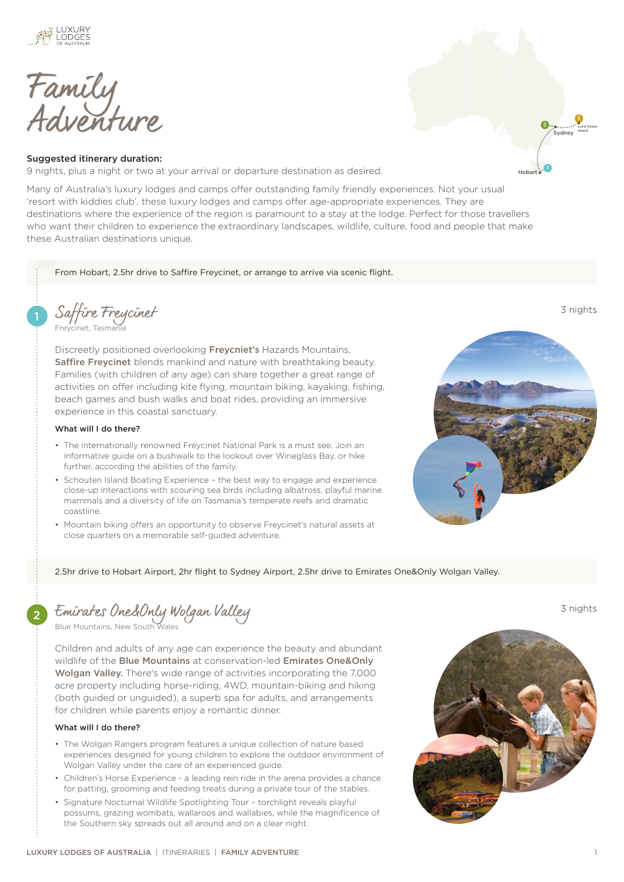

Family Adventure

## Suggested itinerary duration:

9 nights, plus a night or two at your arrival or departure destination as desired.

Many of Australia's luxury lodges and camps offer outstanding family friendly experiences. Not your usual 'resort with kiddies club', these luxury lodges and camps offer age-appropriate experiences. They are destinations where the experience of the region is paramount to a stay at the lodge. Perfect for those travellers who want their children to experience the extraordinary landscapes, wildlife, culture, food and people that make these Australian destinations unique.

From Hobart, 2.5hr drive to Saffire Freycinet, or arrange to arrive via scenic flight.

1 [Saffire Freycinet](https://luxurylodgesofaustralia.com.au/lodges/saffire/) 3 nights [Freycinet, Tasmania](https://luxurylodgesofaustralia.com.au/destinations/freycinet/)

Discreetly positioned overlooking [Freycniet's](https://luxurylodgesofaustralia.com.au/destinations/freycinet/) Hazards Mountains, [Saffire Freycinet](https://luxurylodgesofaustralia.com.au/lodges/saffire/) blends mankind and nature with breathtaking beauty. Families (with children of any age) can share together a great range of activities on offer including kite flying, mountain biking, kayaking, fishing, beach games and bush walks and boat rides, providing an immersive experience in this coastal sanctuary.

## What will I do there?

- The internationally renowned Freycinet National Park is a must see. Join an informative guide on a bushwalk to the lookout over Wineglass Bay, or hike further, according the abilities of the family.
- Schouten Island Boating Experience the best way to engage and experience close-up interactions with scouring sea birds including albatross, playful marine mammals and a diversity of life on Tasmania's temperate reefs and dramatic coastline.
- Mountain biking offers an opportunity to observe Freycinet's natural assets at close quarters on a memorable self-guided adventure.



Hobart

Sydney 2

3 Lord Howe Island

2.5hr drive to Hobart Airport, 2hr flight to Sydney Airport, 2.5hr drive to Emirates One&Only Wolgan Valley.

2 [Emirates One&Only Wolgan Valley](https://luxurylodgesofaustralia.com.au/lodges/wolganvalley/) 3 nights

[Blue Mountains, New South Wales](https://luxurylodgesofaustralia.com.au/destinations/blue-mountains/)

Children and adults of any age can experience the beauty and abundant wildlife of the **[Blue Mountains](https://luxurylodgesofaustralia.com.au/destinations/blue-mountains/)** at conservation-led **Emirates One&Only** [Wolgan Valley.](https://luxurylodgesofaustralia.com.au/lodges/wolganvalley/) There's wide range of activities incorporating the 7,000 acre property including horse-riding, 4WD, mountain-biking and hiking (both guided or unguided), a superb spa for adults, and arrangements for children while parents enjoy a romantic dinner.

## What will I do there?

- The Wolgan Rangers program features a unique collection of nature based experiences designed for young children to explore the outdoor environment of Wolgan Valley under the care of an experienced guide.
- Children's Horse Experience a leading rein ride in the arena provides a chance for patting, grooming and feeding treats during a private tour of the stables.
- Signature Nocturnal Wildlife Spotlighting Tour torchlight reveals playful possums, grazing wombats, wallaroos and wallabies, while the magnificence of the Southern sky spreads out all around and on a clear night.